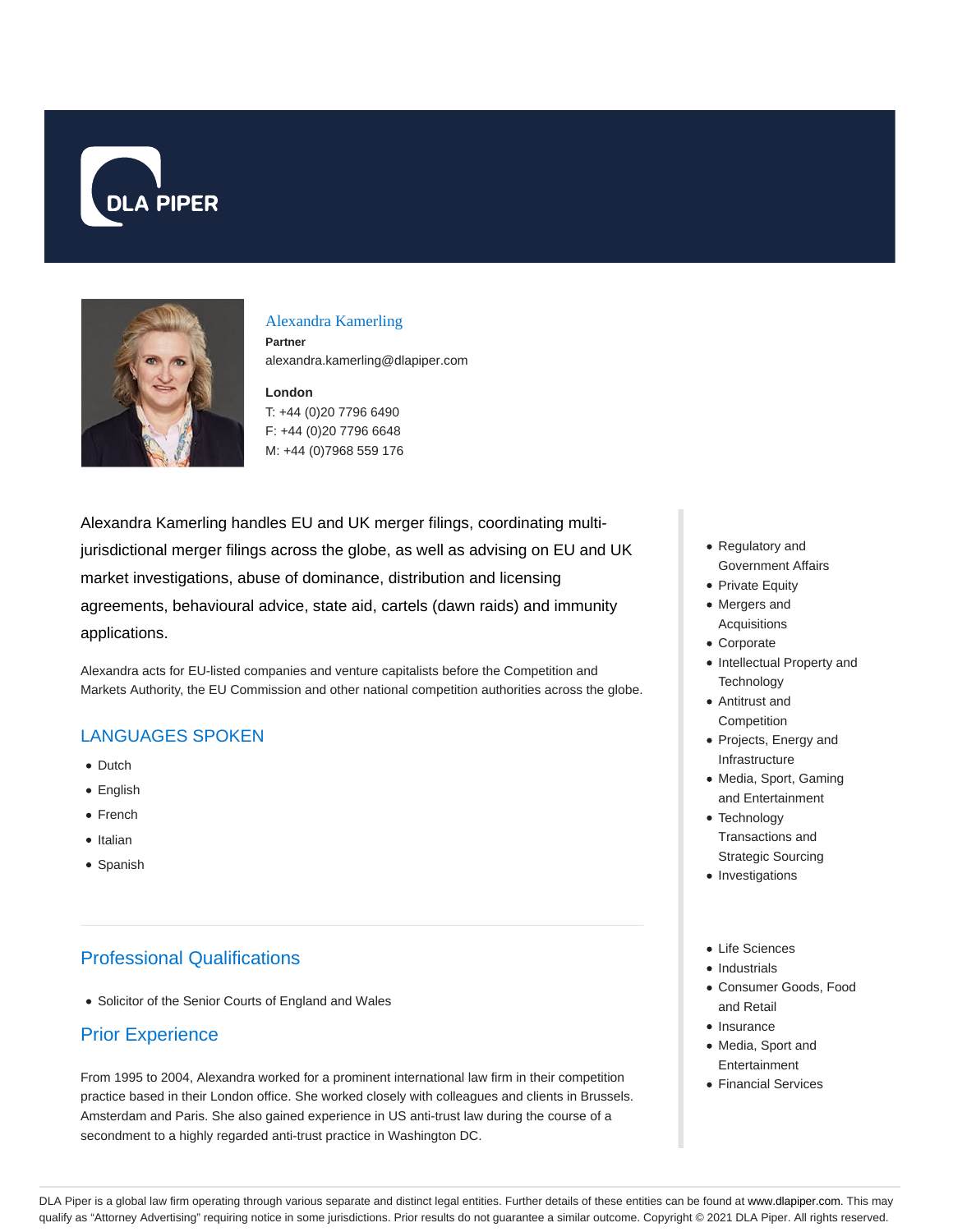



### Alexandra Kamerling

**Partner** alexandra.kamerling@dlapiper.com

### **London**

T: +44 (0)20 7796 6490 F: +44 (0)20 7796 6648 M: +44 (0)7968 559 176

Alexandra Kamerling handles EU and UK merger filings, coordinating multijurisdictional merger filings across the globe, as well as advising on EU and UK market investigations, abuse of dominance, distribution and licensing agreements, behavioural advice, state aid, cartels (dawn raids) and immunity applications.

Alexandra acts for EU-listed companies and venture capitalists before the Competition and Markets Authority, the EU Commission and other national competition authorities across the globe.

# LANGUAGES SPOKEN

- Dutch
- English
- French
- Italian
- Spanish

# Professional Qualifications

Solicitor of the Senior Courts of England and Wales

# Prior Experience

From 1995 to 2004, Alexandra worked for a prominent international law firm in their competition practice based in their London office. She worked closely with colleagues and clients in Brussels. Amsterdam and Paris. She also gained experience in US anti-trust law during the course of a secondment to a highly regarded anti-trust practice in Washington DC.

- Regulatory and Government Affairs
- Private Equity
- Mergers and Acquisitions
- Corporate
- Intellectual Property and **Technology**
- Antitrust and Competition
- Projects, Energy and Infrastructure
- Media, Sport, Gaming and Entertainment
- Technology Transactions and Strategic Sourcing
- Investigations
- Life Sciences
- Industrials
- Consumer Goods, Food and Retail
- Insurance
- Media, Sport and Entertainment
- Financial Services

DLA Piper is a global law firm operating through various separate and distinct legal entities. Further details of these entities can be found at www.dlapiper.com. This may qualify as "Attorney Advertising" requiring notice in some jurisdictions. Prior results do not guarantee a similar outcome. Copyright @ 2021 DLA Piper. All rights reserved.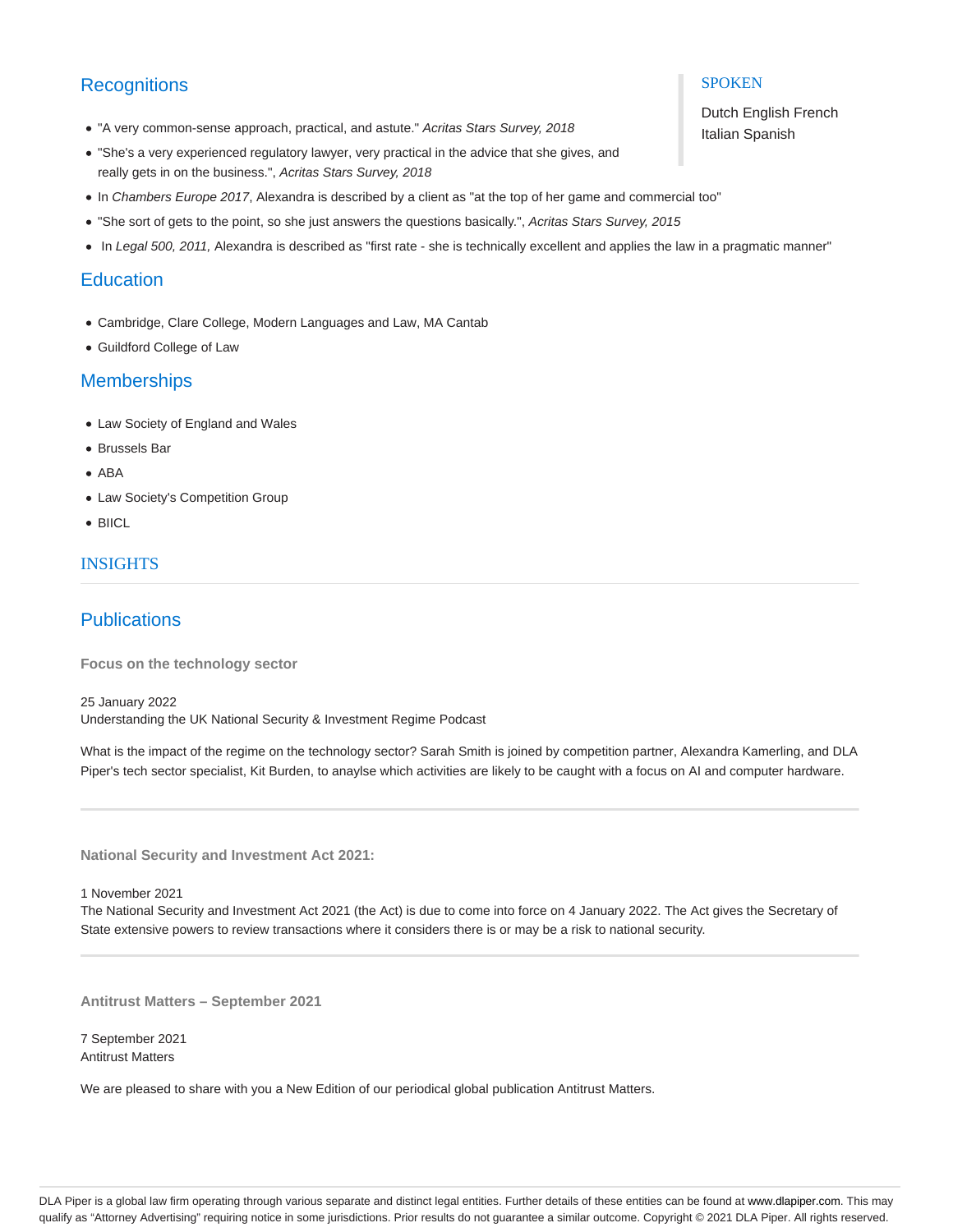# **Recognitions**

- "A very common-sense approach, practical, and astute." Acritas Stars Survey, 2018
- "She's a very experienced regulatory lawyer, very practical in the advice that she gives, and really gets in on the business.", Acritas Stars Survey, 2018
- In Chambers Europe 2017, Alexandra is described by a client as "at the top of her game and commercial too"
- . "She sort of gets to the point, so she just answers the questions basically.", Acritas Stars Survey, 2015
- In Legal 500, 2011, Alexandra is described as "first rate she is technically excellent and applies the law in a pragmatic manner"

### **Education**

- Cambridge, Clare College, Modern Languages and Law, MA Cantab
- Guildford College of Law

# **Memberships**

- Law Society of England and Wales
- Brussels Bar
- ABA
- Law Society's Competition Group
- BIICL

## INSIGHTS

# **Publications**

**Focus on the technology sector**

25 January 2022 Understanding the UK National Security & Investment Regime Podcast

What is the impact of the regime on the technology sector? Sarah Smith is joined by competition partner, Alexandra Kamerling, and DLA Piper's tech sector specialist, Kit Burden, to anaylse which activities are likely to be caught with a focus on AI and computer hardware.

**National Security and Investment Act 2021:**

1 November 2021

The National Security and Investment Act 2021 (the Act) is due to come into force on 4 January 2022. The Act gives the Secretary of State extensive powers to review transactions where it considers there is or may be a risk to national security.

**Antitrust Matters – September 2021**

7 September 2021 Antitrust Matters

We are pleased to share with you a New Edition of our periodical global publication Antitrust Matters.

### **SPOKEN**

Dutch English French Italian Spanish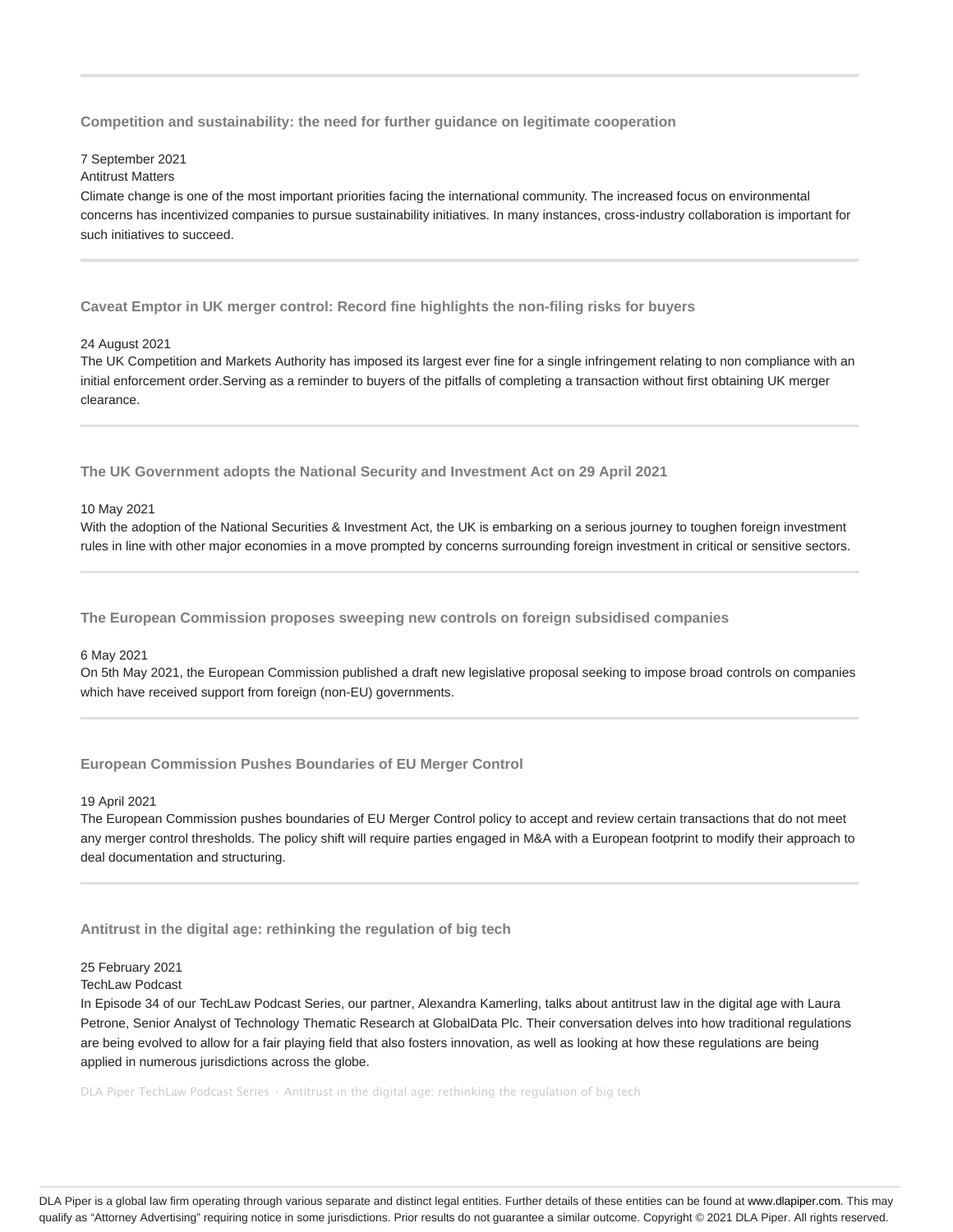**Competition and sustainability: the need for further guidance on legitimate cooperation**

#### 7 September 2021

### Antitrust Matters

Climate change is one of the most important priorities facing the international community. The increased focus on environmental concerns has incentivized companies to pursue sustainability initiatives. In many instances, cross-industry collaboration is important for such initiatives to succeed.

**Caveat Emptor in UK merger control: Record fine highlights the non-filing risks for buyers**

#### 24 August 2021

The UK Competition and Markets Authority has imposed its largest ever fine for a single infringement relating to non compliance with an initial enforcement order.Serving as a reminder to buyers of the pitfalls of completing a transaction without first obtaining UK merger clearance.

**The UK Government adopts the National Security and Investment Act on 29 April 2021**

#### 10 May 2021

With the adoption of the National Securities & Investment Act, the UK is embarking on a serious journey to toughen foreign investment rules in line with other major economies in a move prompted by concerns surrounding foreign investment in critical or sensitive sectors.

**The European Commission proposes sweeping new controls on foreign subsidised companies**

#### 6 May 2021

On 5th May 2021, the European Commission published a draft new legislative proposal seeking to impose broad controls on companies which have received support from foreign (non-EU) governments.

### **European Commission Pushes Boundaries of EU Merger Control**

#### 19 April 2021

The European Commission pushes boundaries of EU Merger Control policy to accept and review certain transactions that do not meet any merger control thresholds. The policy shift will require parties engaged in M&A with a European footprint to modify their approach to deal documentation and structuring.

### **Antitrust in the digital age: rethinking the regulation of big tech**

### 25 February 2021

### TechLaw Podcast

In Episode 34 of our TechLaw Podcast Series, our partner, Alexandra Kamerling, talks about antitrust law in the digital age with Laura Petrone, Senior Analyst of Technology Thematic Research at GlobalData Plc. Their conversation delves into how traditional regulations are being evolved to allow for a fair playing field that also fosters innovation, as well as looking at how these regulations are being applied in numerous jurisdictions across the globe.

DLA Piper TechLaw Podcast Series · Antitrust in the digital age: rethinking the regulation of big tech

DLA Piper is a global law firm operating through various separate and distinct legal entities. Further details of these entities can be found at www.dlapiper.com. This may qualify as "Attorney Advertising" requiring notice in some jurisdictions. Prior results do not guarantee a similar outcome. Copyright @ 2021 DLA Piper. All rights reserved.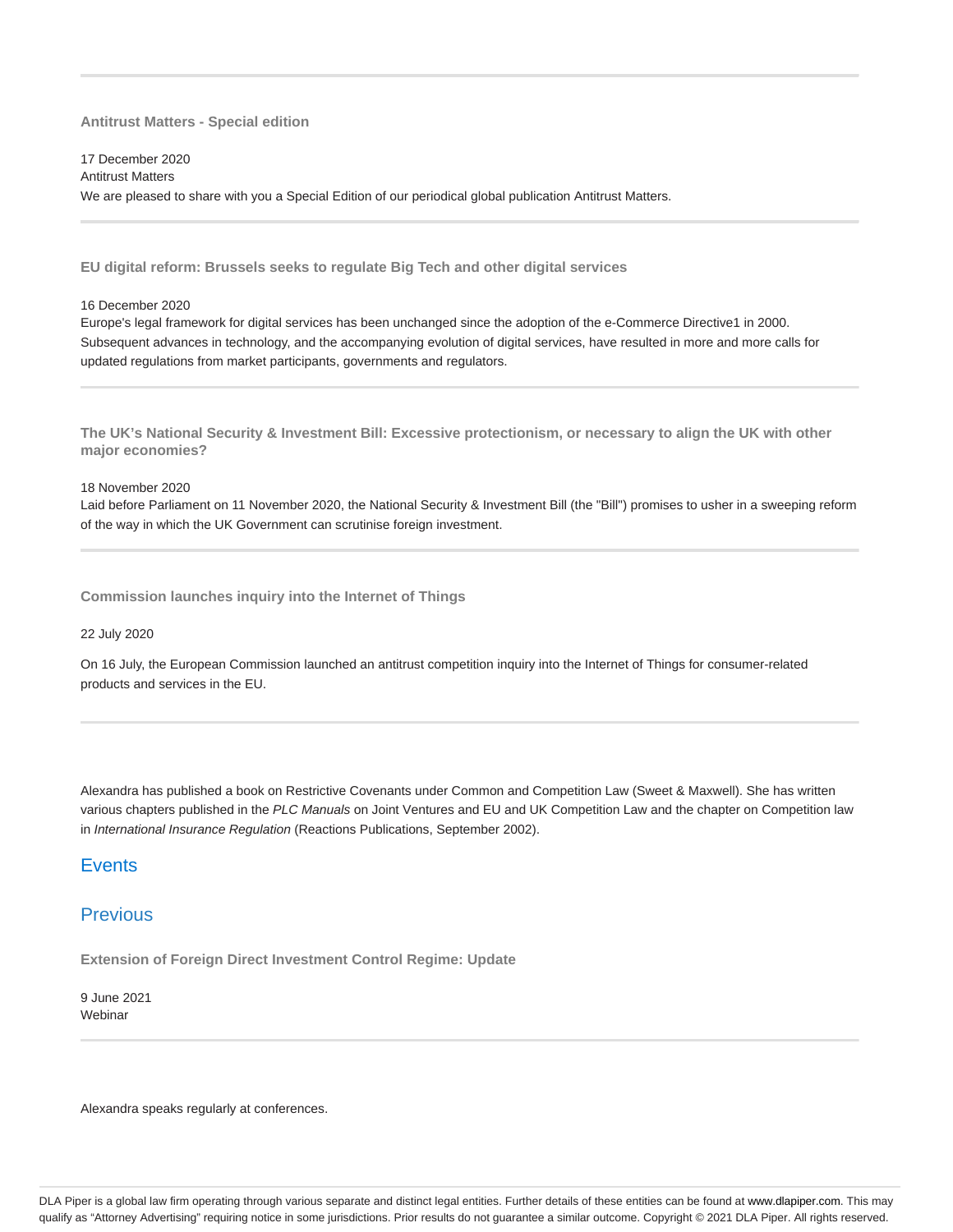**Antitrust Matters - Special edition**

17 December 2020 Antitrust Matters We are pleased to share with you a Special Edition of our periodical global publication Antitrust Matters.

**EU digital reform: Brussels seeks to regulate Big Tech and other digital services**

16 December 2020

Europe's legal framework for digital services has been unchanged since the adoption of the e-Commerce Directive1 in 2000. Subsequent advances in technology, and the accompanying evolution of digital services, have resulted in more and more calls for updated regulations from market participants, governments and regulators.

**The UK's National Security & Investment Bill: Excessive protectionism, or necessary to align the UK with other major economies?**

#### 18 November 2020

Laid before Parliament on 11 November 2020, the National Security & Investment Bill (the "Bill") promises to usher in a sweeping reform of the way in which the UK Government can scrutinise foreign investment.

**Commission launches inquiry into the Internet of Things**

### 22 July 2020

On 16 July, the European Commission launched an antitrust competition inquiry into the Internet of Things for consumer-related products and services in the EU.

Alexandra has published a book on Restrictive Covenants under Common and Competition Law (Sweet & Maxwell). She has written various chapters published in the PLC Manuals on Joint Ventures and EU and UK Competition Law and the chapter on Competition law in International Insurance Regulation (Reactions Publications, September 2002).

## **Events**

# Previous

**Extension of Foreign Direct Investment Control Regime: Update**

9 June 2021 **Webinar** 

Alexandra speaks regularly at conferences.

DLA Piper is a global law firm operating through various separate and distinct legal entities. Further details of these entities can be found at www.dlapiper.com. This may qualify as "Attorney Advertising" requiring notice in some jurisdictions. Prior results do not guarantee a similar outcome. Copyright @ 2021 DLA Piper. All rights reserved.